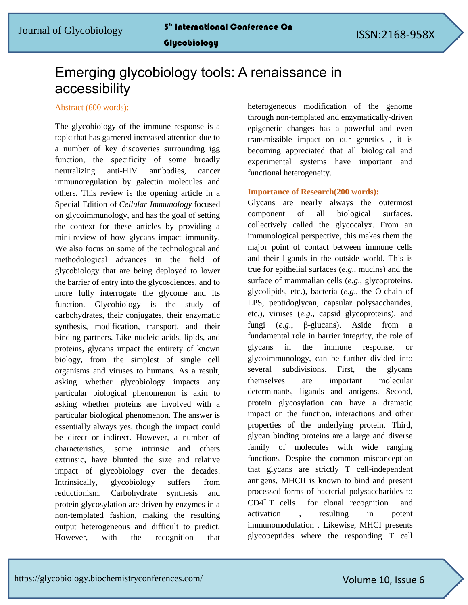# Emerging glycobiology tools: A renaissance in accessibility

#### Abstract (600 words):

The glycobiology of the immune response is a topic that has garnered increased attention due to a number of key discoveries surrounding igg function, the specificity of some broadly neutralizing anti-HIV antibodies, cancer immunoregulation by galectin molecules and others. This review is the opening article in a Special Edition of *Cellular Immunology* focused on glycoimmunology, and has the goal of setting the context for these articles by providing a mini-review of how glycans impact immunity. We also focus on some of the technological and methodological advances in the field of glycobiology that are being deployed to lower the barrier of entry into the glycosciences, and to more fully interrogate the glycome and its function. Glycobiology is the study of carbohydrates, their conjugates, their enzymatic synthesis, modification, transport, and their binding partners. Like nucleic acids, lipids, and proteins, glycans impact the entirety of known biology, from the simplest of single cell organisms and viruses to humans. As a result, asking whether glycobiology impacts any particular biological phenomenon is akin to asking whether proteins are involved with a particular biological phenomenon. The answer is essentially always yes, though the impact could be direct or indirect. However, a number of characteristics, some intrinsic and others extrinsic, have blunted the size and relative impact of glycobiology over the decades. Intrinsically, glycobiology suffers from reductionism. Carbohydrate synthesis and protein glycosylation are driven by enzymes in a non-templated fashion, making the resulting output heterogeneous and difficult to predict. However, with the recognition that

heterogeneous modification of the genome through non-templated and enzymatically-driven epigenetic changes has a powerful and even transmissible impact on our genetics , it is becoming appreciated that all biological and experimental systems have important and functional heterogeneity.

#### **Importance of Research(200 words):**

Glycans are nearly always the outermost component of all biological surfaces, collectively called the glycocalyx. From an immunological perspective, this makes them the major point of contact between immune cells and their ligands in the outside world. This is true for epithelial surfaces (*e.g*., mucins) and the surface of mammalian cells (*e.g*., glycoproteins, glycolipids, etc.), bacteria (*e.g*., the O-chain of LPS, peptidoglycan, capsular polysaccharides, etc.), viruses (*e.g*., capsid glycoproteins), and fungi (*e.g*., β-glucans). Aside from a fundamental role in barrier integrity, the role of glycans in the immune response, or glycoimmunology, can be further divided into several subdivisions. First, the glycans themselves are important molecular determinants, ligands and antigens. Second, protein glycosylation can have a dramatic impact on the function, interactions and other properties of the underlying protein. Third, glycan binding proteins are a large and diverse family of molecules with wide ranging functions. Despite the common misconception that glycans are strictly T cell-independent antigens, MHCII is known to bind and present processed forms of bacterial polysaccharides to  $CD4^+$  T cells for clonal recognition and activation , resulting in potent immunomodulation . Likewise, MHCI presents glycopeptides where the responding T cell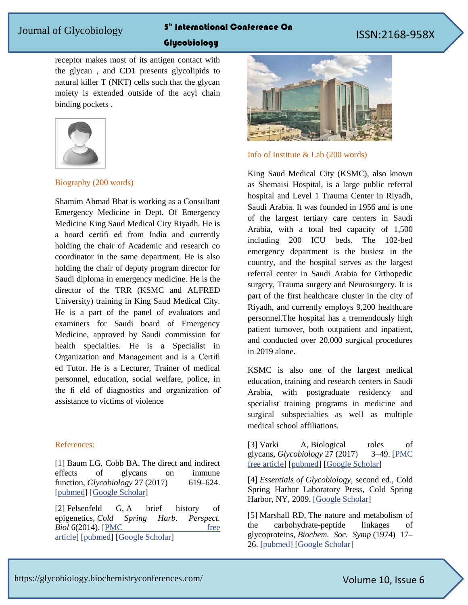# Journal of Glycobiology <sup>5</sup>

#### 5<sup>th</sup> International Conference On

#### Glycobiology

# ISSN:2168-958X

receptor makes most of its antigen contact with the glycan , and CD1 presents glycolipids to natural killer T (NKT) cells such that the glycan moiety is extended outside of the acyl chain binding pockets .



Biography (200 words)

Shamim Ahmad Bhat is working as a Consultant Emergency Medicine in Dept. Of Emergency Medicine King Saud Medical City Riyadh. He is a board certifi ed from India and currently holding the chair of Academic and research co coordinator in the same department. He is also holding the chair of deputy program director for Saudi diploma in emergency medicine. He is the director of the TRR (KSMC and ALFRED University) training in King Saud Medical City. He is a part of the panel of evaluators and examiners for Saudi board of Emergency Medicine, approved by Saudi commission for health specialties. He is a Specialist in Organization and Management and is a Certifi ed Tutor. He is a Lecturer, Trainer of medical personnel, education, social welfare, police, in the fi eld of diagnostics and organization of assistance to victims of violence

## References:

[1] Baum LG, Cobb BA, The direct and indirect effects of glycans on immune function, *Glycobiology* 27 (2017) 619–624. [\[pubmed\]](https://www.ncbi.nlm.nih.gov/pubmed/28460052) [Google [Scholar\]](https://scholar.google.com/scholar_lookup?journal=Glycobiology&title=The+direct+and+indirect+effects+of+glycans+on+immune+function&author=LG+Baum&author=BA+Cobb&volume=27&publication_year=2017&pages=619-624&pmid=28460052&)

[2] Felsenfeld G, A brief history of epigenetics, *Cold Spring Harb. Perspect. Biol* 6(2014). [PMC free [article\]](https://www.ncbi.nlm.nih.gov/pmc/articles/PMC3941222/) [\[pubmed\]](https://www.ncbi.nlm.nih.gov/pubmed/24384572) [\[Google Scholar\]](https://scholar.google.com/scholar_lookup?journal=Cold+Spring+Harb.+Perspect.+Biol&title=A+brief+history+of+epigenetics&author=G+Felsenfeld&volume=6&publication_year=2014&)



Info of Institute & Lab (200 words)

King Saud Medical City (KSMC), also known as Shemaisi Hospital, is a large public referral hospital and Level 1 Trauma Center in Riyadh, Saudi Arabia. It was founded in 1956 and is one of the largest tertiary care centers in Saudi Arabia, with a total bed capacity of 1,500 including 200 ICU beds. The 102-bed emergency department is the busiest in the country, and the hospital serves as the largest referral center in Saudi Arabia for Orthopedic surgery, Trauma surgery and Neurosurgery. It is part of the first healthcare cluster in the city of Riyadh, and currently employs 9,200 healthcare personnel.The hospital has a tremendously high patient turnover, both outpatient and inpatient, and conducted over 20,000 surgical procedures in 2019 alone.

KSMC is also one of the largest medical education, training and research centers in Saudi Arabia, with postgraduate residency and specialist training programs in medicine and surgical subspecialties as well as multiple medical school affiliations.

[3] Varki A, Biological roles of glycans, *Glycobiology* 27 (2017) 3–49. [\[PMC](https://www.ncbi.nlm.nih.gov/pmc/articles/PMC5884436/)  [free article\]](https://www.ncbi.nlm.nih.gov/pmc/articles/PMC5884436/) [\[pubmed\]](https://www.ncbi.nlm.nih.gov/pubmed/27558841) [\[Google Scholar\]](https://scholar.google.com/scholar_lookup?journal=Glycobiology&title=Biological+roles+of+glycans&author=A+Varki&volume=27&publication_year=2017&pages=3-49&pmid=27558841&)

[4] *Essentials of Glycobiology*, second ed., Cold Spring Harbor Laboratory Press, Cold Spring Harbor, NY, 2009. [\[Google Scholar\]](https://scholar.google.com/scholar_lookup?title=Essentials+of+Glycobiology&publication_year=2009&)

[5] Marshall RD, The nature and metabolism of the carbohydrate-peptide linkages of glycoproteins, *Biochem. Soc. Symp* (1974) 17– 26. [\[pubmed\]](https://www.ncbi.nlm.nih.gov/pubmed/4620382) [\[Google Scholar\]](https://scholar.google.com/scholar_lookup?journal=Biochem.+Soc.+Symp&title=The+nature+and+metabolism+of+the+carbohydrate-peptide+linkages+of+glycoproteins&author=RD+Marshall&publication_year=1974&pages=17-26&pmid=4620382&)